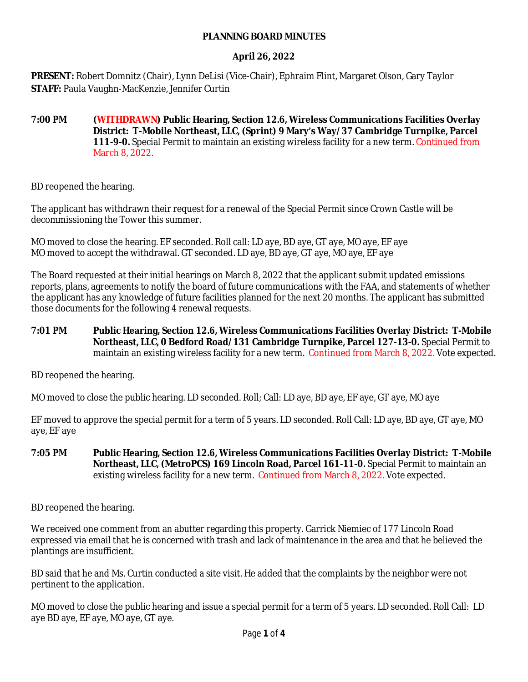#### **PLANNING BOARD MINUTES**

### **April 26, 2022**

**PRESENT:** Robert Domnitz (Chair), Lynn DeLisi (Vice-Chair), Ephraim Flint, Margaret Olson, Gary Taylor **STAFF:** Paula Vaughn-MacKenzie, Jennifer Curtin

**7:00 PM (WITHDRAWN) Public Hearing, Section 12.6, Wireless Communications Facilities Overlay District: T-Mobile Northeast, LLC, (Sprint) 9 Mary's Way/37 Cambridge Turnpike, Parcel 111-9-0.** Special Permit to maintain an existing wireless facility for a new term. Continued from March 8, 2022.

BD reopened the hearing.

The applicant has withdrawn their request for a renewal of the Special Permit since Crown Castle will be decommissioning the Tower this summer.

MO moved to close the hearing. EF seconded. Roll call: LD aye, BD aye, GT aye, MO aye, EF aye MO moved to accept the withdrawal. GT seconded. LD aye, BD aye, GT aye, MO aye, EF aye

The Board requested at their initial hearings on March 8, 2022 that the applicant submit updated emissions reports, plans, agreements to notify the board of future communications with the FAA, and statements of whether the applicant has any knowledge of future facilities planned for the next 20 months. The applicant has submitted those documents for the following 4 renewal requests.

**7:01 PM Public Hearing, Section 12.6, Wireless Communications Facilities Overlay District: T-Mobile Northeast, LLC, 0 Bedford Road/131 Cambridge Turnpike, Parcel 127-13-0.** Special Permit to maintain an existing wireless facility for a new term. Continued from March 8, 2022. Vote expected.

BD reopened the hearing.

MO moved to close the public hearing. LD seconded. Roll; Call: LD aye, BD aye, EF aye, GT aye, MO aye

EF moved to approve the special permit for a term of 5 years. LD seconded. Roll Call: LD aye, BD aye, GT aye, MO aye, EF aye

**7:05 PM Public Hearing, Section 12.6, Wireless Communications Facilities Overlay District: T-Mobile Northeast, LLC, (MetroPCS) 169 Lincoln Road, Parcel 161-11-0.** Special Permit to maintain an existing wireless facility for a new term. Continued from March 8, 2022. Vote expected.

BD reopened the hearing.

We received one comment from an abutter regarding this property. Garrick Niemiec of 177 Lincoln Road expressed via email that he is concerned with trash and lack of maintenance in the area and that he believed the plantings are insufficient.

BD said that he and Ms. Curtin conducted a site visit. He added that the complaints by the neighbor were not pertinent to the application.

MO moved to close the public hearing and issue a special permit for a term of 5 years. LD seconded. Roll Call: LD aye BD aye, EF aye, MO aye, GT aye.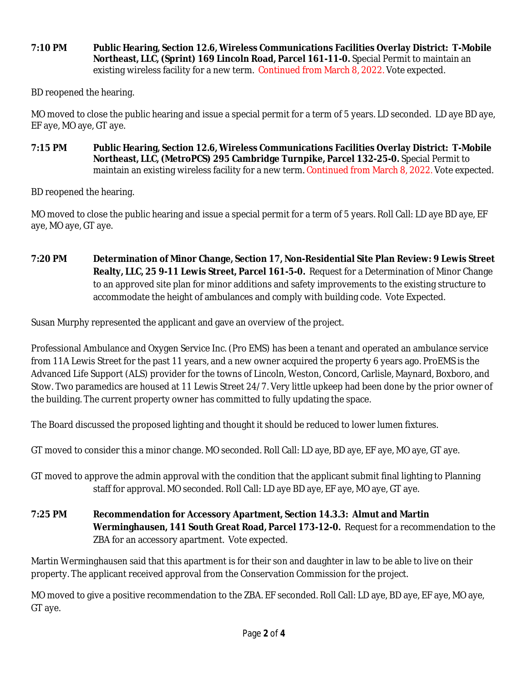**7:10 PM Public Hearing, Section 12.6, Wireless Communications Facilities Overlay District: T-Mobile Northeast, LLC, (Sprint) 169 Lincoln Road, Parcel 161-11-0.** Special Permit to maintain an existing wireless facility for a new term. Continued from March 8, 2022. Vote expected.

BD reopened the hearing.

MO moved to close the public hearing and issue a special permit for a term of 5 years. LD seconded. LD aye BD aye, EF aye, MO aye, GT aye.

**7:15 PM Public Hearing, Section 12.6, Wireless Communications Facilities Overlay District: T-Mobile Northeast, LLC, (MetroPCS) 295 Cambridge Turnpike, Parcel 132-25-0.** Special Permit to maintain an existing wireless facility for a new term. Continued from March 8, 2022. Vote expected.

BD reopened the hearing.

MO moved to close the public hearing and issue a special permit for a term of 5 years. Roll Call: LD aye BD aye, EF aye, MO aye, GT aye.

**7:20 PM Determination of Minor Change, Section 17, Non-Residential Site Plan Review: 9 Lewis Street Realty, LLC, 25 9-11 Lewis Street, Parcel 161-5-0.** Request for a Determination of Minor Change to an approved site plan for minor additions and safety improvements to the existing structure to accommodate the height of ambulances and comply with building code. Vote Expected.

Susan Murphy represented the applicant and gave an overview of the project.

Professional Ambulance and Oxygen Service Inc. (Pro EMS) has been a tenant and operated an ambulance service from 11A Lewis Street for the past 11 years, and a new owner acquired the property 6 years ago. ProEMS is the Advanced Life Support (ALS) provider for the towns of Lincoln, Weston, Concord, Carlisle, Maynard, Boxboro, and Stow. Two paramedics are housed at 11 Lewis Street 24/7. Very little upkeep had been done by the prior owner of the building. The current property owner has committed to fully updating the space.

The Board discussed the proposed lighting and thought it should be reduced to lower lumen fixtures.

GT moved to consider this a minor change. MO seconded. Roll Call: LD aye, BD aye, EF aye, MO aye, GT aye.

- GT moved to approve the admin approval with the condition that the applicant submit final lighting to Planning staff for approval. MO seconded. Roll Call: LD aye BD aye, EF aye, MO aye, GT aye.
- **7:25 PM Recommendation for Accessory Apartment, Section 14.3.3: Almut and Martin Werminghausen, 141 South Great Road, Parcel 173-12-0.** Request for a recommendation to the ZBA for an accessory apartment. Vote expected.

Martin Werminghausen said that this apartment is for their son and daughter in law to be able to live on their property. The applicant received approval from the Conservation Commission for the project.

MO moved to give a positive recommendation to the ZBA. EF seconded. Roll Call: LD aye, BD aye, EF aye, MO aye, GT aye.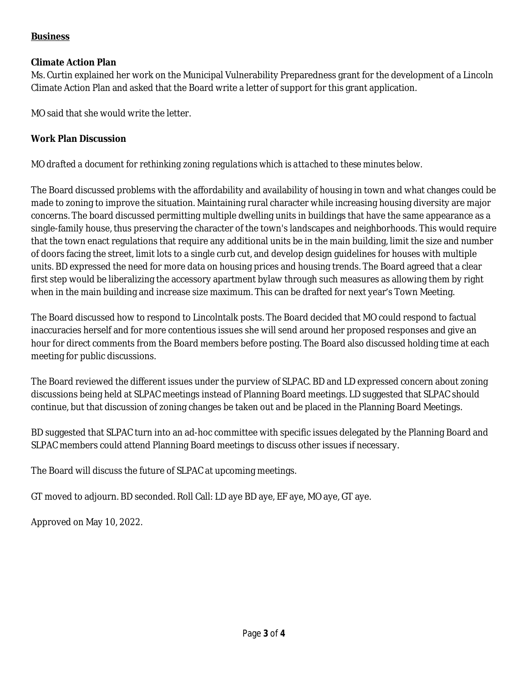# **Business**

### **Climate Action Plan**

Ms. Curtin explained her work on the Municipal Vulnerability Preparedness grant for the development of a Lincoln Climate Action Plan and asked that the Board write a letter of support for this grant application.

MO said that she would write the letter.

# **Work Plan Discussion**

# *MO drafted a document for rethinking zoning regulations which is attached to these minutes below.*

The Board discussed problems with the affordability and availability of housing in town and what changes could be made to zoning to improve the situation. Maintaining rural character while increasing housing diversity are major concerns. The board discussed permitting multiple dwelling units in buildings that have the same appearance as a single-family house, thus preserving the character of the town's landscapes and neighborhoods. This would require that the town enact regulations that require any additional units be in the main building, limit the size and number of doors facing the street, limit lots to a single curb cut, and develop design guidelines for houses with multiple units. BD expressed the need for more data on housing prices and housing trends. The Board agreed that a clear first step would be liberalizing the accessory apartment bylaw through such measures as allowing them by right when in the main building and increase size maximum. This can be drafted for next year's Town Meeting.

The Board discussed how to respond to Lincolntalk posts. The Board decided that MO could respond to factual inaccuracies herself and for more contentious issues she will send around her proposed responses and give an hour for direct comments from the Board members before posting. The Board also discussed holding time at each meeting for public discussions.

The Board reviewed the different issues under the purview of SLPAC. BD and LD expressed concern about zoning discussions being held at SLPAC meetings instead of Planning Board meetings. LD suggested that SLPAC should continue, but that discussion of zoning changes be taken out and be placed in the Planning Board Meetings.

BD suggested that SLPAC turn into an ad-hoc committee with specific issues delegated by the Planning Board and SLPAC members could attend Planning Board meetings to discuss other issues if necessary.

The Board will discuss the future of SLPAC at upcoming meetings.

GT moved to adjourn. BD seconded. Roll Call: LD aye BD aye, EF aye, MO aye, GT aye.

Approved on May 10, 2022.